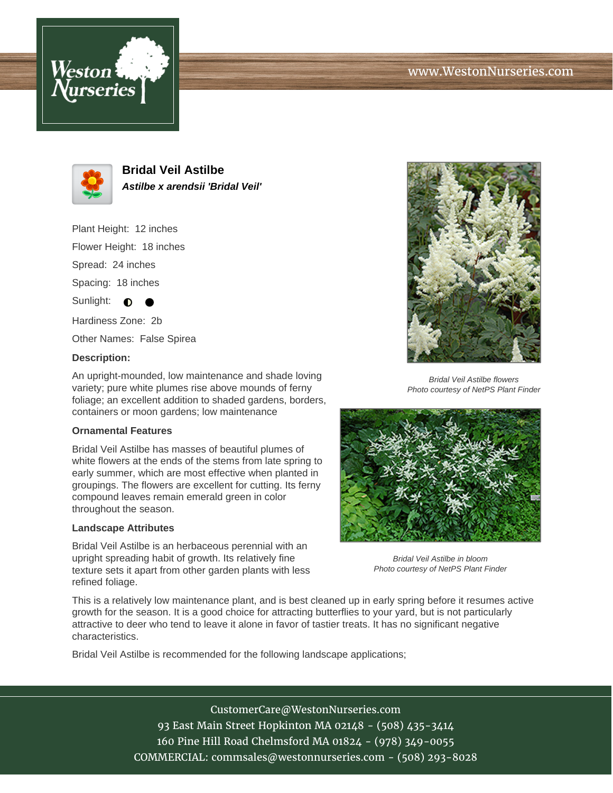# www.WestonNurseries.com





**Bridal Veil Astilbe Astilbe x arendsii 'Bridal Veil'**

Plant Height: 12 inches

Flower Height: 18 inches

Spread: 24 inches

Spacing: 18 inches

Sunlight:  $\bullet$ 

Hardiness Zone: 2b

Other Names: False Spirea

#### **Description:**

An upright-mounded, low maintenance and shade loving variety; pure white plumes rise above mounds of ferny foliage; an excellent addition to shaded gardens, borders, containers or moon gardens; low maintenance

### **Ornamental Features**

Bridal Veil Astilbe has masses of beautiful plumes of white flowers at the ends of the stems from late spring to early summer, which are most effective when planted in groupings. The flowers are excellent for cutting. Its ferny compound leaves remain emerald green in color throughout the season.

### **Landscape Attributes**

Bridal Veil Astilbe is an herbaceous perennial with an upright spreading habit of growth. Its relatively fine texture sets it apart from other garden plants with less refined foliage.



Bridal Veil Astilbe flowers Photo courtesy of NetPS Plant Finder



Bridal Veil Astilbe in bloom Photo courtesy of NetPS Plant Finder

This is a relatively low maintenance plant, and is best cleaned up in early spring before it resumes active growth for the season. It is a good choice for attracting butterflies to your yard, but is not particularly attractive to deer who tend to leave it alone in favor of tastier treats. It has no significant negative characteristics.

Bridal Veil Astilbe is recommended for the following landscape applications;

CustomerCare@WestonNurseries.com 93 East Main Street Hopkinton MA 02148 - (508) 435-3414 160 Pine Hill Road Chelmsford MA 01824 - (978) 349-0055 COMMERCIAL: commsales@westonnurseries.com - (508) 293-8028